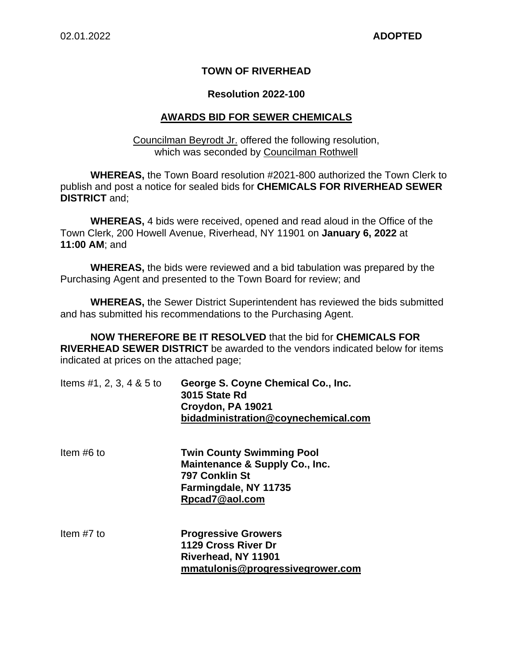### **TOWN OF RIVERHEAD**

#### **Resolution 2022-100**

#### **AWARDS BID FOR SEWER CHEMICALS**

Councilman Beyrodt Jr. offered the following resolution, which was seconded by Councilman Rothwell

**WHEREAS,** the Town Board resolution #2021-800 authorized the Town Clerk to publish and post a notice for sealed bids for **CHEMICALS FOR RIVERHEAD SEWER DISTRICT** and;

**WHEREAS,** 4 bids were received, opened and read aloud in the Office of the Town Clerk, 200 Howell Avenue, Riverhead, NY 11901 on **January 6, 2022** at **11:00 AM**; and

**WHEREAS,** the bids were reviewed and a bid tabulation was prepared by the Purchasing Agent and presented to the Town Board for review; and

**WHEREAS,** the Sewer District Superintendent has reviewed the bids submitted and has submitted his recommendations to the Purchasing Agent.

**NOW THEREFORE BE IT RESOLVED** that the bid for **CHEMICALS FOR RIVERHEAD SEWER DISTRICT** be awarded to the vendors indicated below for items indicated at prices on the attached page;

**mmatulonis@progressivegrower.com** 

| Items #1, 2, 3, 4 $&$ 5 to | George S. Coyne Chemical Co., Inc.<br>3015 State Rd<br>Croydon, PA 19021<br>bidadministration@coynechemical.com                 |
|----------------------------|---------------------------------------------------------------------------------------------------------------------------------|
| Item $#6$ to               | <b>Twin County Swimming Pool</b><br>Maintenance & Supply Co., Inc.<br>797 Conklin St<br>Farmingdale, NY 11735<br>Rpcad7@aol.com |
| Item $#7$ to               | <b>Progressive Growers</b><br>1129 Cross River Dr<br>Riverhead, NY 11901                                                        |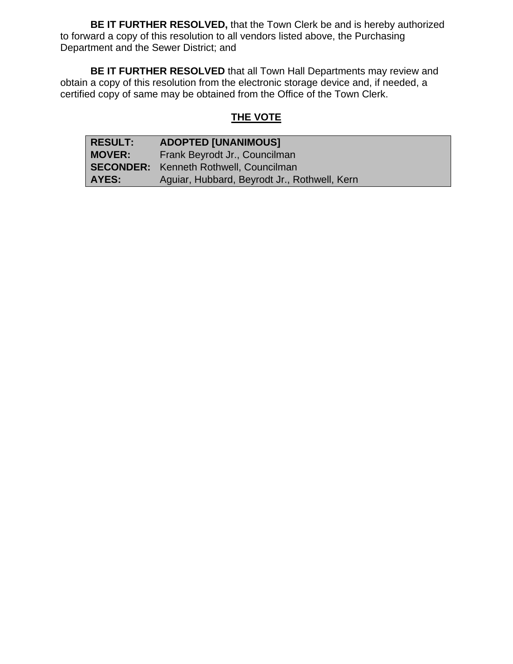**BE IT FURTHER RESOLVED,** that the Town Clerk be and is hereby authorized to forward a copy of this resolution to all vendors listed above, the Purchasing Department and the Sewer District; and

**BE IT FURTHER RESOLVED** that all Town Hall Departments may review and obtain a copy of this resolution from the electronic storage device and, if needed, a certified copy of same may be obtained from the Office of the Town Clerk.

# **THE VOTE**

| RESULT:       | <b>ADOPTED [UNANIMOUS]</b>                    |
|---------------|-----------------------------------------------|
| <b>MOVER:</b> | Frank Beyrodt Jr., Councilman                 |
|               | <b>SECONDER:</b> Kenneth Rothwell, Councilman |
| <b>AYES:</b>  | Aguiar, Hubbard, Beyrodt Jr., Rothwell, Kern  |